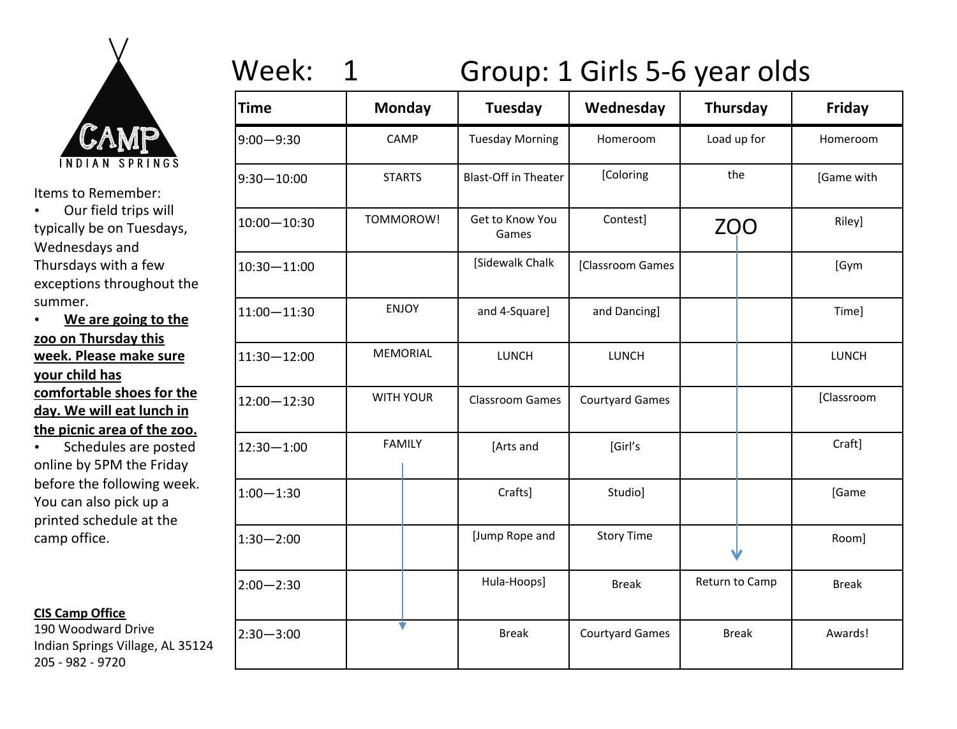

• Our field trips will typically be on Tuesdays, Wednesdays and Thursdays with a few exceptions throughout the summer. 

• We are going to the **zoo on Thursday this week. Please make sure your child has** comfortable shoes for the day. We will eat lunch in **the picnic area of the zoo.** 

• Schedules are posted online by 5PM the Friday before the following week. You can also pick up a printed schedule at the camp office.

#### **CIS Camp Office**

190 Woodward Drive Indian Springs Village, AL 35124 205 - 982 - 9720

# Week: 1 Group: 1 Girls 5-6 year olds

| <b>Time</b>     | <b>Monday</b>    | Tuesday                     | Wednesday              | Thursday       | Friday       |
|-----------------|------------------|-----------------------------|------------------------|----------------|--------------|
| $9:00 - 9:30$   | CAMP             | <b>Tuesday Morning</b>      | Homeroom               | Load up for    | Homeroom     |
| $9:30 - 10:00$  | <b>STARTS</b>    | <b>Blast-Off in Theater</b> | [Coloring              | the            | [Game with   |
| $10:00 - 10:30$ | TOMMOROW!        | Get to Know You<br>Games    | Contest]               | <b>ZOO</b>     | Riley]       |
| $10:30 - 11:00$ |                  | [Sidewalk Chalk             | [Classroom Games       |                | [Gym         |
| $11:00 - 11:30$ | <b>ENJOY</b>     | and 4-Square]               | and Dancing]           |                | Time]        |
| $11:30 - 12:00$ | <b>MEMORIAL</b>  | LUNCH                       | LUNCH                  |                | LUNCH        |
| $12:00 - 12:30$ | <b>WITH YOUR</b> | <b>Classroom Games</b>      | <b>Courtyard Games</b> |                | [Classroom   |
| $12:30 - 1:00$  | <b>FAMILY</b>    | [Arts and                   | [Girl's                |                | Craft]       |
| $1:00 - 1:30$   |                  | Crafts]                     | Studio]                |                | [Game        |
| $1:30 - 2:00$   |                  | [Jump Rope and              | <b>Story Time</b>      |                | Room]        |
| $2:00 - 2:30$   |                  | Hula-Hoops]                 | <b>Break</b>           | Return to Camp | <b>Break</b> |
| $2:30 - 3:00$   |                  | <b>Break</b>                | <b>Courtyard Games</b> | <b>Break</b>   | Awards!      |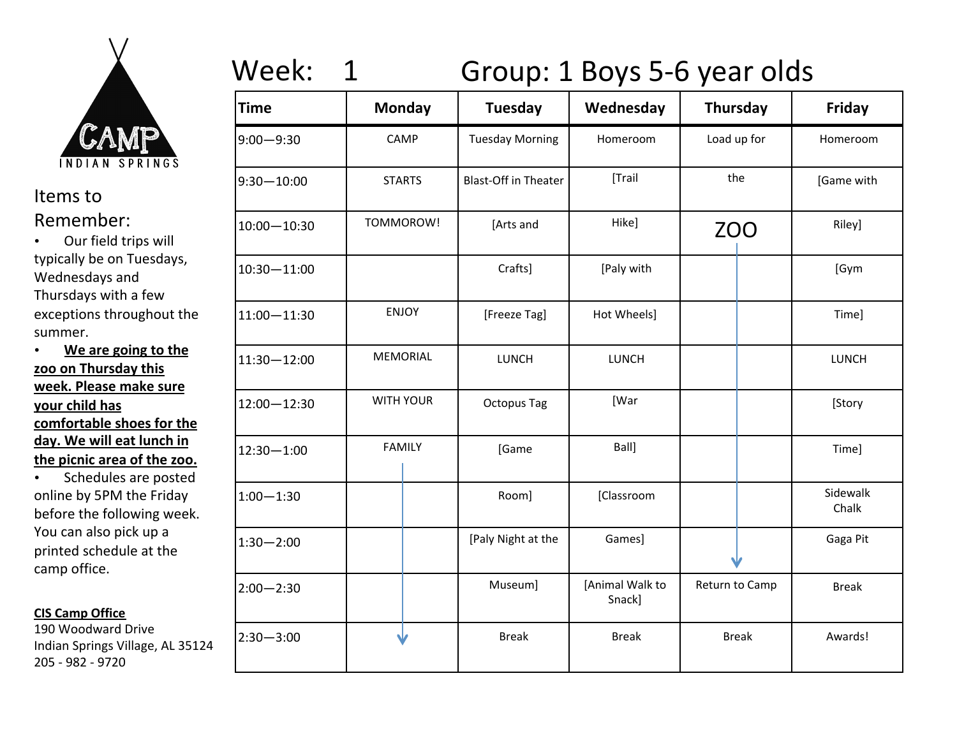

• Our field trips will typically be on Tuesdays, Wednesdays and Thursdays with a few exceptions throughout the summer. 

### • We are going to the zoo on Thursday this **week. Please make sure your child has** comfortable shoes for the day. We will eat lunch in the picnic area of the zoo.

• Schedules are posted online by 5PM the Friday before the following week. You can also pick up a printed schedule at the camp office.

### **CIS Camp Office**

190 Woodward Drive Indian Springs Village, AL 35124 205 - 982 - 9720

# Week: 1 Group: 1 Boys 5-6 year olds

| <b>Time</b>     | <b>Monday</b>    | <b>Tuesday</b>              | Wednesday                 | Thursday       | <b>Friday</b>     |
|-----------------|------------------|-----------------------------|---------------------------|----------------|-------------------|
| $9:00 - 9:30$   | CAMP             | <b>Tuesday Morning</b>      | Homeroom                  | Load up for    | Homeroom          |
| $9:30 - 10:00$  | <b>STARTS</b>    | <b>Blast-Off in Theater</b> | [Trail                    | the            | [Game with        |
| $10:00 - 10:30$ | TOMMOROW!        | [Arts and                   | Hike]                     | <b>ZOO</b>     | Riley]            |
| $10:30 - 11:00$ |                  | Crafts]                     | [Paly with                |                | [Gym              |
| $11:00 - 11:30$ | <b>ENJOY</b>     | [Freeze Tag]                | Hot Wheels]               |                | Time]             |
| $11:30 - 12:00$ | <b>MEMORIAL</b>  | <b>LUNCH</b>                | <b>LUNCH</b>              |                | LUNCH             |
| $12:00 - 12:30$ | <b>WITH YOUR</b> | <b>Octopus Tag</b>          | [War                      |                | [Story            |
| $12:30 - 1:00$  | <b>FAMILY</b>    | [Game                       | Ball]                     |                | Time]             |
| $1:00 - 1:30$   |                  | Room]                       | [Classroom                |                | Sidewalk<br>Chalk |
| $1:30 - 2:00$   |                  | [Paly Night at the          | Games]                    |                | Gaga Pit          |
| $2:00 - 2:30$   |                  | Museum]                     | [Animal Walk to<br>Snack] | Return to Camp | <b>Break</b>      |
| $2:30 - 3:00$   |                  | <b>Break</b>                | <b>Break</b>              | <b>Break</b>   | Awards!           |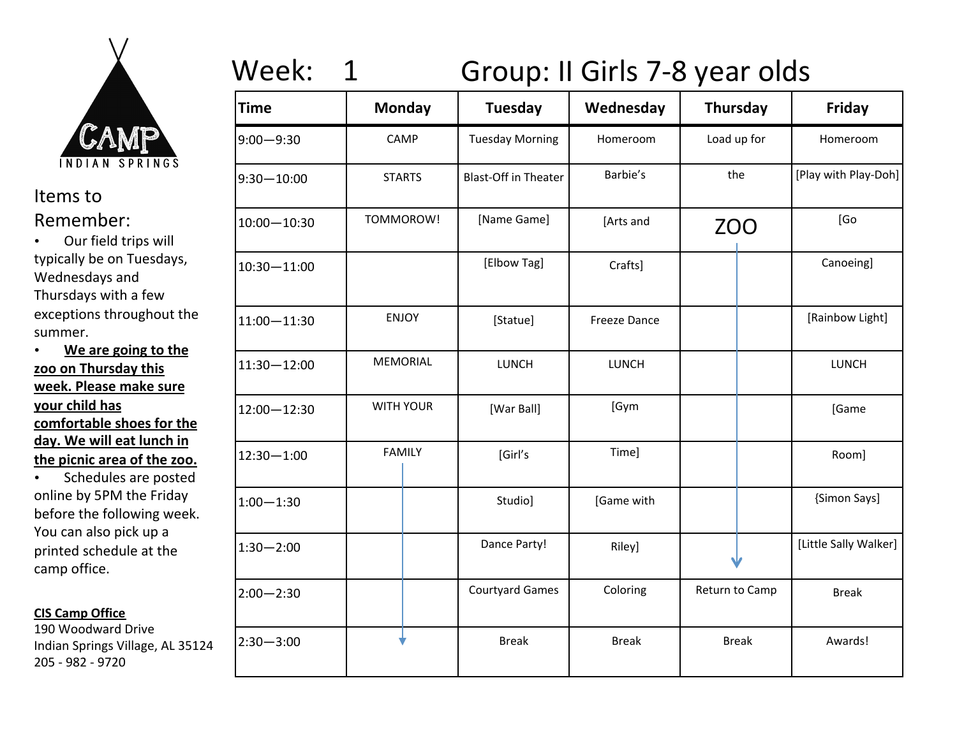

• Our field trips will typically be on Tuesdays, Wednesdays and Thursdays with a few exceptions throughout the summer. 

• We are going to the zoo on Thursday this **week. Please make sure your child has** comfortable shoes for the day. We will eat lunch in the picnic area of the zoo.

• Schedules are posted online by 5PM the Friday before the following week. You can also pick up a printed schedule at the camp office.

### **CIS Camp Office**

190 Woodward Drive Indian Springs Village, AL 35124 205 - 982 - 9720

# Week: 1 Group: II Girls 7-8 year olds

| <b>Time</b>     | <b>Monday</b>    | Tuesday                     | Wednesday           | <b>Thursday</b> | <b>Friday</b>         |
|-----------------|------------------|-----------------------------|---------------------|-----------------|-----------------------|
| $9:00 - 9:30$   | CAMP             | <b>Tuesday Morning</b>      | Homeroom            | Load up for     | Homeroom              |
| $9:30 - 10:00$  | <b>STARTS</b>    | <b>Blast-Off in Theater</b> | Barbie's            | the             | [Play with Play-Doh]  |
| $10:00 - 10:30$ | TOMMOROW!        | [Name Game]                 | [Arts and           | <b>ZOO</b>      | [Go                   |
| $10:30 - 11:00$ |                  | [Elbow Tag]                 | Crafts]             |                 | Canoeing]             |
| $11:00 - 11:30$ | <b>ENJOY</b>     | [Statue]                    | <b>Freeze Dance</b> |                 | [Rainbow Light]       |
| $11:30 - 12:00$ | MEMORIAL         | <b>LUNCH</b>                | <b>LUNCH</b>        |                 | LUNCH                 |
| $12:00 - 12:30$ | <b>WITH YOUR</b> | [War Ball]                  | [Gym                |                 | [Game                 |
| $12:30 - 1:00$  | <b>FAMILY</b>    | [Girl's                     | Time]               |                 | Room]                 |
| $1:00 - 1:30$   |                  | Studio]                     | [Game with          |                 | {Simon Says]          |
| $1:30 - 2:00$   |                  | Dance Party!                | Riley]              |                 | [Little Sally Walker] |
| $2:00 - 2:30$   |                  | <b>Courtyard Games</b>      | Coloring            | Return to Camp  | <b>Break</b>          |
| $2:30 - 3:00$   |                  | <b>Break</b>                | <b>Break</b>        | <b>Break</b>    | Awards!               |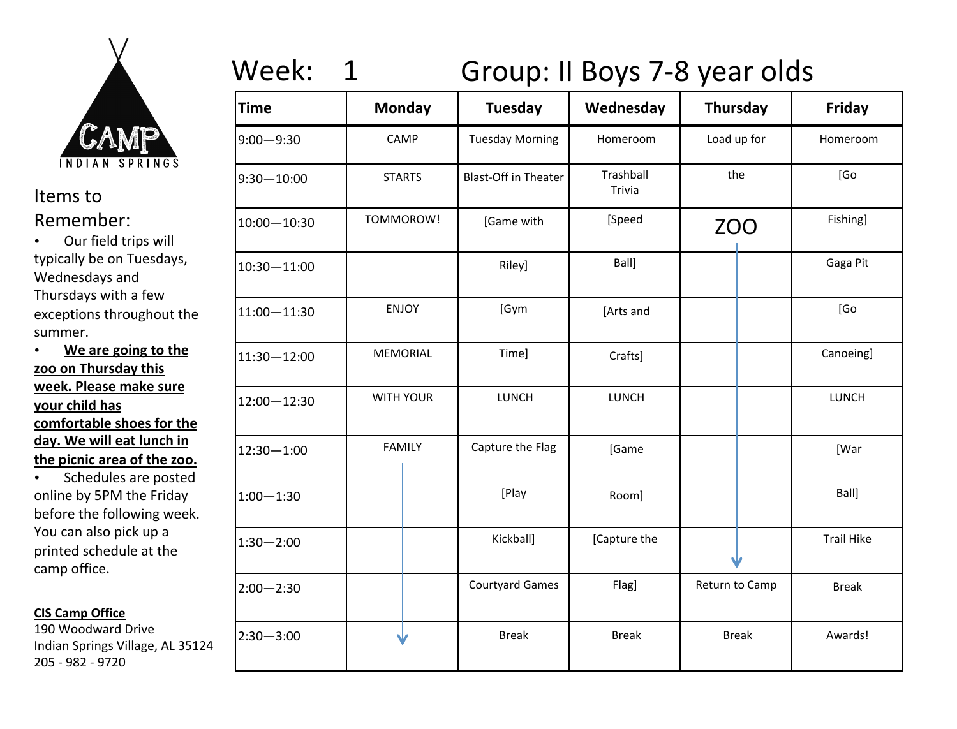

• Our field trips will typically be on Tuesdays, Wednesdays and Thursdays with a few exceptions throughout the summer. 

### • We are going to the zoo on Thursday this **week. Please make sure your child has** comfortable shoes for the day. We will eat lunch in the picnic area of the zoo.

• Schedules are posted online by 5PM the Friday before the following week. You can also pick up a printed schedule at the camp office.

### **CIS Camp Office**

190 Woodward Drive Indian Springs Village, AL 35124 205 - 982 - 9720

# Week: 1 Group: II Boys 7-8 year olds

| <b>Time</b>     | <b>Monday</b>    | <b>Tuesday</b>              | Wednesday           | <b>Thursday</b> | Friday            |
|-----------------|------------------|-----------------------------|---------------------|-----------------|-------------------|
| $9:00 - 9:30$   | CAMP             | <b>Tuesday Morning</b>      | Homeroom            | Load up for     | Homeroom          |
| $9:30 - 10:00$  | <b>STARTS</b>    | <b>Blast-Off in Theater</b> | Trashball<br>Trivia | the             | [Go               |
| $10:00 - 10:30$ | TOMMOROW!        | [Game with                  | [Speed              | <b>ZOO</b>      | Fishing]          |
| 10:30-11:00     |                  | Riley]                      | Ball]               |                 | Gaga Pit          |
| $11:00 - 11:30$ | <b>ENJOY</b>     | [Gym                        | [Arts and           |                 | [Go               |
| 11:30-12:00     | <b>MEMORIAL</b>  | Time]                       | Crafts]             |                 | Canoeing]         |
| 12:00-12:30     | <b>WITH YOUR</b> | LUNCH                       | LUNCH               |                 | LUNCH             |
| 12:30-1:00      | <b>FAMILY</b>    | Capture the Flag            | [Game               |                 | [War              |
| $1:00 - 1:30$   |                  | [Play                       | Room]               |                 | Ball]             |
| $1:30 - 2:00$   |                  | Kickball]                   | [Capture the        |                 | <b>Trail Hike</b> |
| $2:00 - 2:30$   |                  | <b>Courtyard Games</b>      | Flag]               | Return to Camp  | <b>Break</b>      |
| $2:30 - 3:00$   |                  | <b>Break</b>                | <b>Break</b>        | <b>Break</b>    | Awards!           |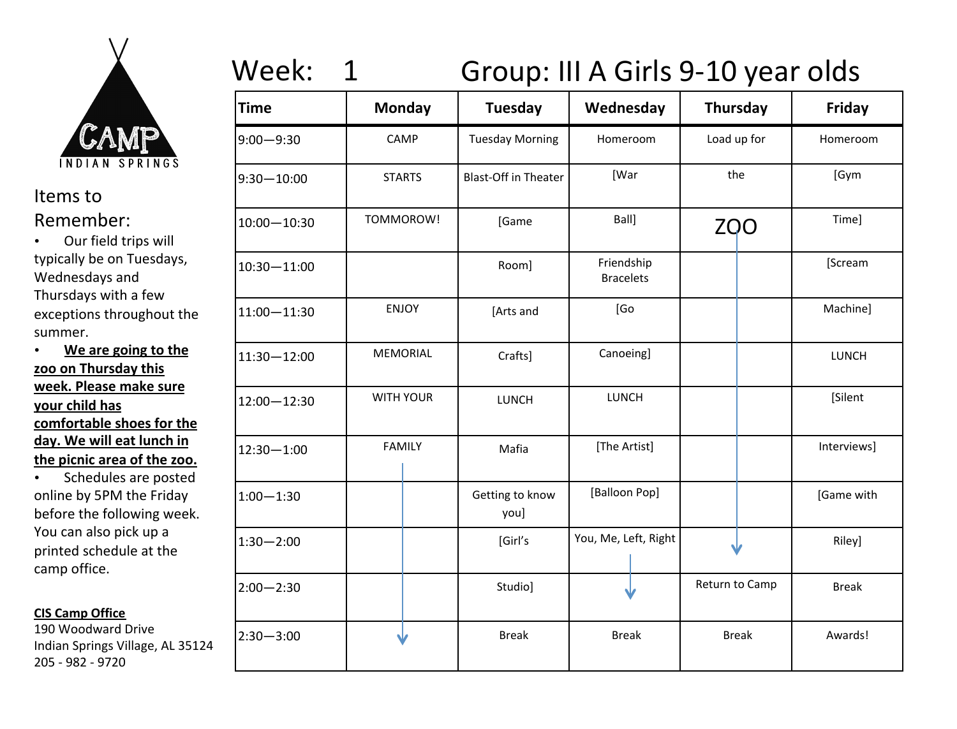

• Our field trips will typically be on Tuesdays, Wednesdays and Thursdays with a few exceptions throughout the summer. 

### • We are going to the zoo on Thursday this **week. Please make sure your child has** comfortable shoes for the day. We will eat lunch in the picnic area of the zoo.

• Schedules are posted online by 5PM the Friday before the following week. You can also pick up a printed schedule at the camp office.

### **CIS Camp Office**

190 Woodward Drive Indian Springs Village, AL 35124 205 - 982 - 9720

# Week: 1 Group: III A Girls 9-10 year olds

| Time          | <b>Monday</b>    | <b>Tuesday</b>              | Wednesday                      | <b>Thursday</b> | Friday       |
|---------------|------------------|-----------------------------|--------------------------------|-----------------|--------------|
| 9:00—9:30     | CAMP             | <b>Tuesday Morning</b>      | Homeroom                       | Load up for     | Homeroom     |
| 9:30-10:00    | <b>STARTS</b>    | <b>Blast-Off in Theater</b> | [War                           | the             | [Gym         |
| 10:00-10:30   | TOMMOROW!        | [Game                       | Ball]                          | <b>ZQO</b>      | Time]        |
| 10:30-11:00   |                  | Room]                       | Friendship<br><b>Bracelets</b> |                 | [Scream      |
| 11:00-11:30   | <b>ENJOY</b>     | [Arts and                   | [Go                            |                 | Machine]     |
| 11:30-12:00   | <b>MEMORIAL</b>  | Crafts]                     | Canoeing]                      |                 | LUNCH        |
| 12:00 - 12:30 | <b>WITH YOUR</b> | LUNCH                       | LUNCH                          |                 | [Silent      |
| 12:30-1:00    | <b>FAMILY</b>    | Mafia                       | [The Artist]                   |                 | Interviews]  |
| $1:00 - 1:30$ |                  | Getting to know<br>you]     | [Balloon Pop]                  |                 | [Game with   |
| $1:30 - 2:00$ |                  | [Girl's                     | You, Me, Left, Right           |                 | Riley]       |
| 2:00-2:30     |                  | Studio]                     |                                | Return to Camp  | <b>Break</b> |
| 2:30-3:00     |                  | <b>Break</b>                | <b>Break</b>                   | <b>Break</b>    | Awards!      |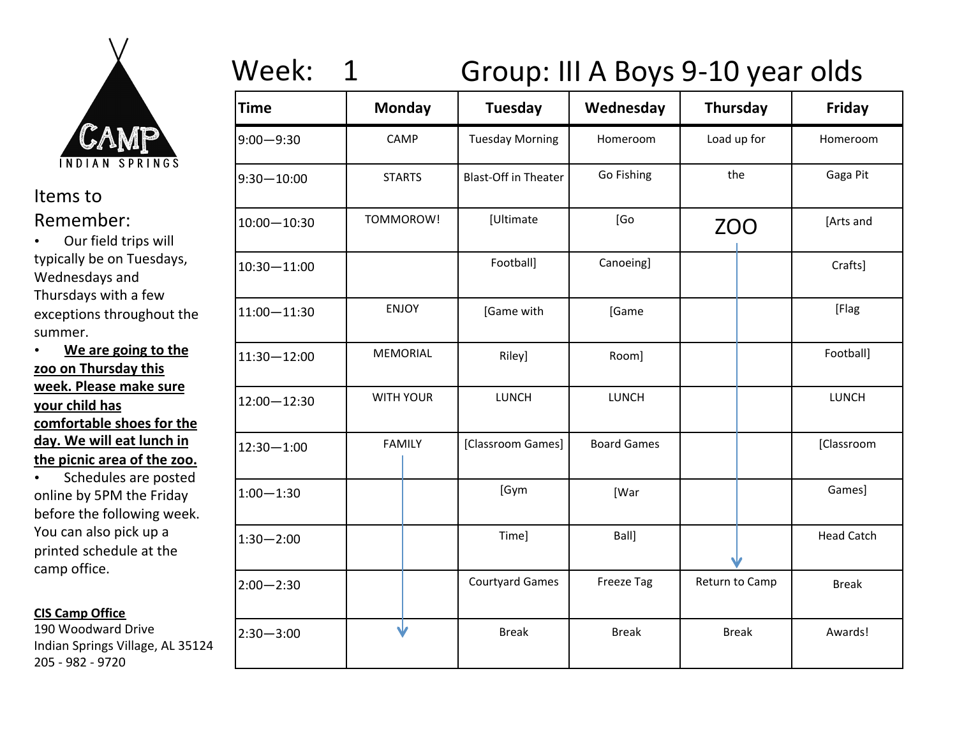

• Our field trips will typically be on Tuesdays, Wednesdays and Thursdays with a few exceptions throughout the summer. 

### • We are going to the zoo on Thursday this **week. Please make sure your child has** comfortable shoes for the day. We will eat lunch in the picnic area of the zoo.

• Schedules are posted online by 5PM the Friday before the following week. You can also pick up a printed schedule at the camp office.

### **CIS Camp Office**

190 Woodward Drive Indian Springs Village, AL 35124 205 - 982 - 9720

# Week: 1 Group: III A Boys 9-10 year olds

| <b>Time</b>     | <b>Monday</b>    | <b>Tuesday</b>              | Wednesday          | Thursday       | Friday            |
|-----------------|------------------|-----------------------------|--------------------|----------------|-------------------|
| $9:00 - 9:30$   | CAMP             | <b>Tuesday Morning</b>      | Homeroom           | Load up for    | Homeroom          |
| $9:30 - 10:00$  | <b>STARTS</b>    | <b>Blast-Off in Theater</b> | Go Fishing         | the            | Gaga Pit          |
| $10:00 - 10:30$ | TOMMOROW!        | [Ultimate                   | [Go                | <b>ZOO</b>     | [Arts and         |
| $10:30 - 11:00$ |                  | Football]                   | Canoeing]          |                | Crafts]           |
| $11:00 - 11:30$ | <b>ENJOY</b>     | [Game with                  | [Game              |                | [Flag             |
| $11:30 - 12:00$ | <b>MEMORIAL</b>  | Riley]                      | Room]              |                | Football]         |
| 12:00 - 12:30   | <b>WITH YOUR</b> | LUNCH                       | LUNCH              |                | LUNCH             |
| $12:30 - 1:00$  | <b>FAMILY</b>    | [Classroom Games]           | <b>Board Games</b> |                | [Classroom        |
| $1:00 - 1:30$   |                  | [Gym                        | [War               |                | Games]            |
| $1:30 - 2:00$   |                  | Time]                       | Ball]              |                | <b>Head Catch</b> |
| $2:00 - 2:30$   |                  | <b>Courtyard Games</b>      | <b>Freeze Tag</b>  | Return to Camp | <b>Break</b>      |
| $2:30 - 3:00$   | ◡                | <b>Break</b>                | <b>Break</b>       | <b>Break</b>   | Awards!           |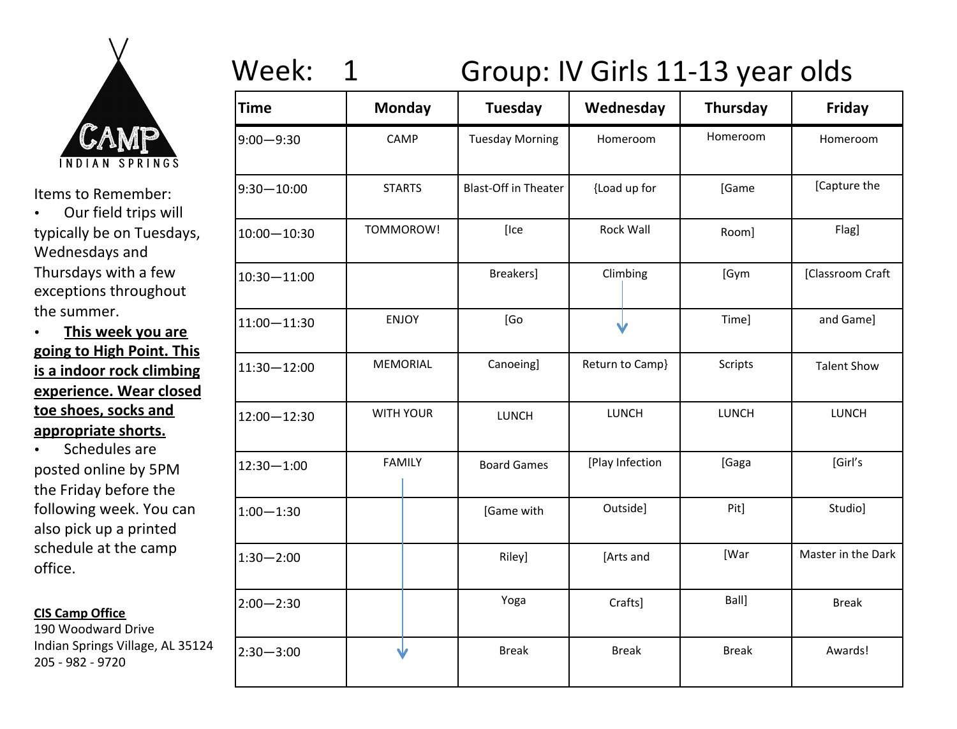

Items to Remember:

• Our field trips will typically be on Tuesdays, Wednesdays and Thursdays with a few exceptions throughout the summer.

• **This week you are going to High Point. This is a indoor rock climbing experience. Wear closed**  toe shoes, socks and appropriate shorts.

• Schedules are posted online by 5PM the Friday before the following week. You can also pick up a printed schedule at the camp office.

#### **CIS Camp Office**

190 Woodward Drive Indian Springs Village, AL 35124 205 - 982 - 9720

# Week: 1 Group: IV Girls 11-13 year olds

| <b>Time</b>   | <b>Monday</b>    | Tuesday                     | Wednesday        | Thursday       | Friday             |
|---------------|------------------|-----------------------------|------------------|----------------|--------------------|
| 9:00-9:30     | CAMP             | <b>Tuesday Morning</b>      | Homeroom         | Homeroom       | Homeroom           |
| 9:30-10:00    | <b>STARTS</b>    | <b>Blast-Off in Theater</b> | {Load up for     | [Game          | [Capture the       |
| 10:00-10:30   | TOMMOROW!        | [Ice                        | <b>Rock Wall</b> | Room]          | Flag]              |
| 10:30-11:00   |                  | Breakers]                   | Climbing         | [Gym           | [Classroom Craft   |
| 11:00-11:30   | <b>ENJOY</b>     | [Go                         |                  | Time]          | and Game]          |
| 11:30-12:00   | <b>MEMORIAL</b>  | Canoeing]                   | Return to Camp}  | <b>Scripts</b> | <b>Talent Show</b> |
| 12:00-12:30   | <b>WITH YOUR</b> | <b>LUNCH</b>                | LUNCH            | LUNCH          | LUNCH              |
| 12:30-1:00    | <b>FAMILY</b>    | <b>Board Games</b>          | [Play Infection  | [Gaga          | [Girl's            |
| $1:00 - 1:30$ |                  | [Game with                  | Outside]         | Pit]           | Studio]            |
| $1:30 - 2:00$ |                  | Riley]                      | [Arts and        | [War           | Master in the Dark |
| 2:00-2:30     |                  | Yoga                        | Crafts]          | Ball]          | <b>Break</b>       |
| $2:30 - 3:00$ |                  | <b>Break</b>                | <b>Break</b>     | <b>Break</b>   | Awards!            |